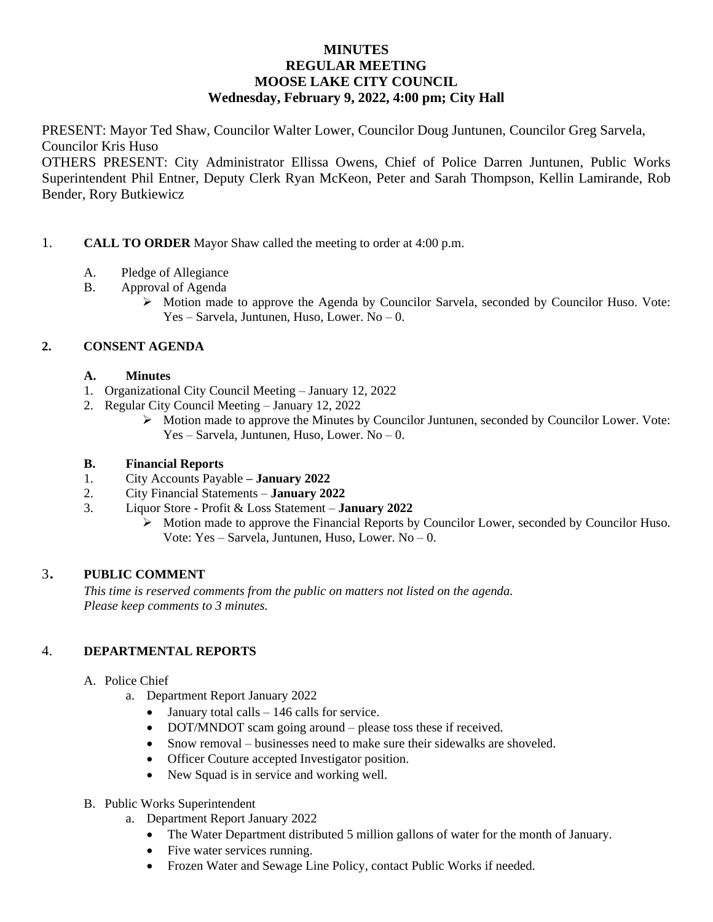## **MINUTES REGULAR MEETING MOOSE LAKE CITY COUNCIL Wednesday, February 9, 2022, 4:00 pm; City Hall**

PRESENT: Mayor Ted Shaw, Councilor Walter Lower, Councilor Doug Juntunen, Councilor Greg Sarvela, Councilor Kris Huso

OTHERS PRESENT: City Administrator Ellissa Owens, Chief of Police Darren Juntunen, Public Works Superintendent Phil Entner, Deputy Clerk Ryan McKeon, Peter and Sarah Thompson, Kellin Lamirande, Rob Bender, Rory Butkiewicz

## 1. **CALL TO ORDER** Mayor Shaw called the meeting to order at 4:00 p.m.

- A. Pledge of Allegiance
- B. Approval of Agenda
	- $\triangleright$  Motion made to approve the Agenda by Councilor Sarvela, seconded by Councilor Huso. Vote: Yes – Sarvela, Juntunen, Huso, Lower. No – 0.

## **2. CONSENT AGENDA**

- **A. Minutes**
- 1. Organizational City Council Meeting January 12, 2022
- 2. Regular City Council Meeting January 12, 2022
	- $\triangleright$  Motion made to approve the Minutes by Councilor Juntunen, seconded by Councilor Lower. Vote: Yes – Sarvela, Juntunen, Huso, Lower. No – 0.

#### **B. Financial Reports**

- 1. City Accounts Payable **– January 2022**
- 2. City Financial Statements **January 2022**
- 3. Liquor Store Profit & Loss Statement **January 2022**
	- Motion made to approve the Financial Reports by Councilor Lower, seconded by Councilor Huso. Vote: Yes – Sarvela, Juntunen, Huso, Lower. No – 0.

#### <sup>3</sup>. **PUBLIC COMMENT**

*This time is reserved comments from the public on matters not listed on the agenda. Please keep comments to 3 minutes.*

#### 4. **DEPARTMENTAL REPORTS**

- A. Police Chief
	- a. Department Report January 2022
		- $\bullet$  January total calls 146 calls for service.
		- DOT/MNDOT scam going around please toss these if received.
		- Snow removal businesses need to make sure their sidewalks are shoveled.
		- Officer Couture accepted Investigator position.
		- New Squad is in service and working well.
- B. Public Works Superintendent
	- a. Department Report January 2022
		- The Water Department distributed 5 million gallons of water for the month of January.
		- Five water services running.
		- Frozen Water and Sewage Line Policy, contact Public Works if needed.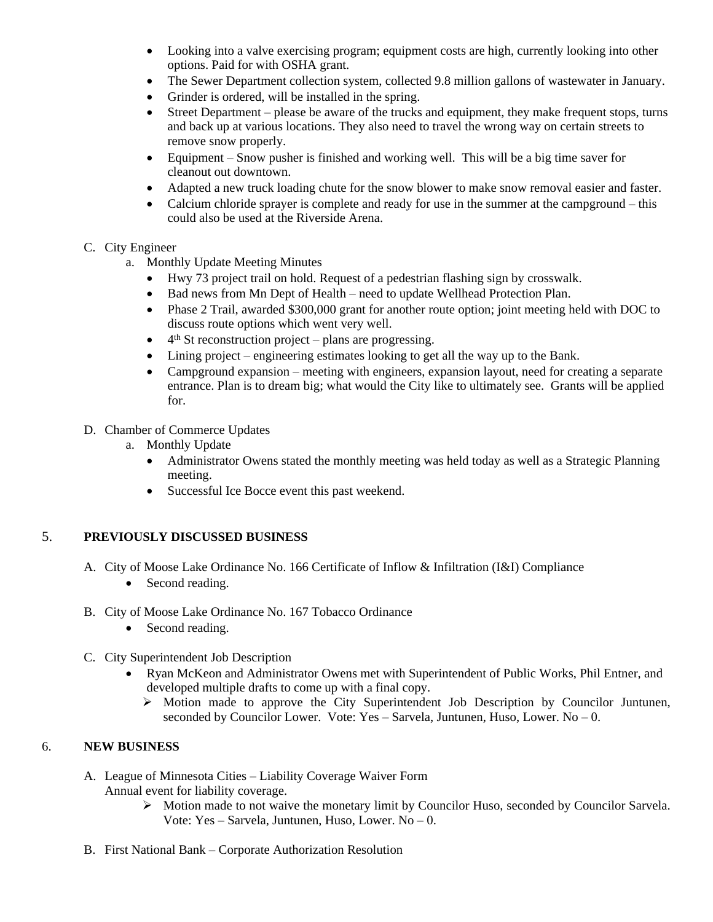- Looking into a valve exercising program; equipment costs are high, currently looking into other options. Paid for with OSHA grant.
- The Sewer Department collection system, collected 9.8 million gallons of wastewater in January.
- Grinder is ordered, will be installed in the spring.
- Street Department please be aware of the trucks and equipment, they make frequent stops, turns and back up at various locations. They also need to travel the wrong way on certain streets to remove snow properly.
- Equipment Snow pusher is finished and working well. This will be a big time saver for cleanout out downtown.
- Adapted a new truck loading chute for the snow blower to make snow removal easier and faster.
- Calcium chloride sprayer is complete and ready for use in the summer at the campground this could also be used at the Riverside Arena.

#### C. City Engineer

- a. Monthly Update Meeting Minutes
	- Hwy 73 project trail on hold. Request of a pedestrian flashing sign by crosswalk.
	- Bad news from Mn Dept of Health need to update Wellhead Protection Plan.
	- Phase 2 Trail, awarded \$300,000 grant for another route option; joint meeting held with DOC to discuss route options which went very well.
	- 4<sup>th</sup> St reconstruction project plans are progressing.
	- Lining project engineering estimates looking to get all the way up to the Bank.
	- Campground expansion meeting with engineers, expansion layout, need for creating a separate entrance. Plan is to dream big; what would the City like to ultimately see. Grants will be applied for.

## D. Chamber of Commerce Updates

- a. Monthly Update
	- Administrator Owens stated the monthly meeting was held today as well as a Strategic Planning meeting.
	- Successful Ice Bocce event this past weekend.

# 5. **PREVIOUSLY DISCUSSED BUSINESS**

- A. City of Moose Lake Ordinance No. 166 Certificate of Inflow & Infiltration (I&I) Compliance
	- Second reading.
- B. City of Moose Lake Ordinance No. 167 Tobacco Ordinance
	- Second reading.
- C. City Superintendent Job Description
	- Ryan McKeon and Administrator Owens met with Superintendent of Public Works, Phil Entner, and developed multiple drafts to come up with a final copy.
		- Motion made to approve the City Superintendent Job Description by Councilor Juntunen, seconded by Councilor Lower. Vote: Yes – Sarvela, Juntunen, Huso, Lower. No – 0.

# 6. **NEW BUSINESS**

- A. League of Minnesota Cities Liability Coverage Waiver Form Annual event for liability coverage.
	- $\triangleright$  Motion made to not waive the monetary limit by Councilor Huso, seconded by Councilor Sarvela. Vote: Yes – Sarvela, Juntunen, Huso, Lower. No – 0.
- B. First National Bank Corporate Authorization Resolution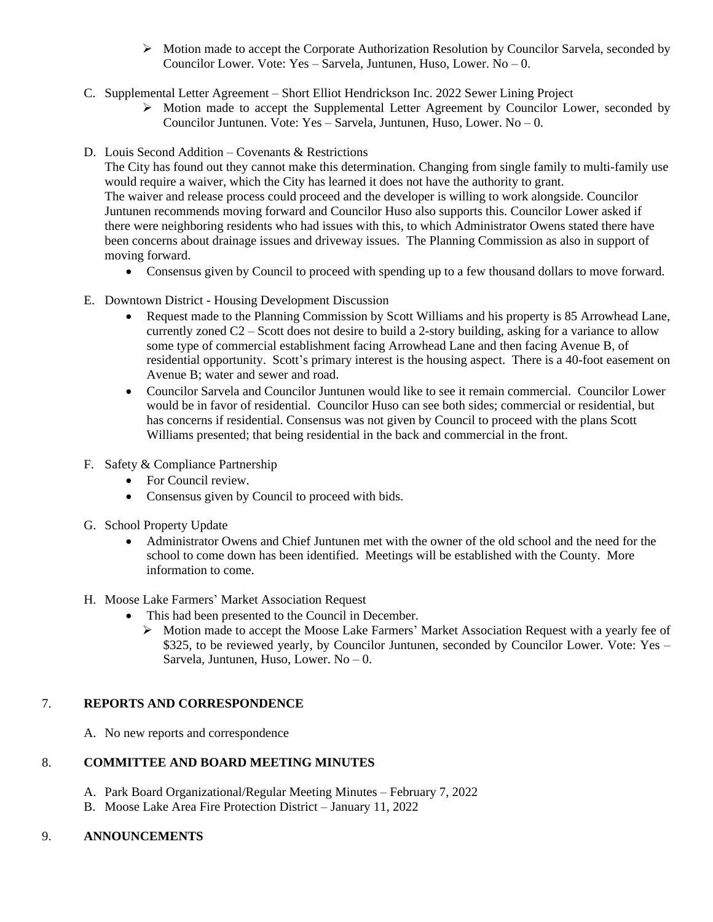- $\triangleright$  Motion made to accept the Corporate Authorization Resolution by Councilor Sarvela, seconded by Councilor Lower. Vote: Yes – Sarvela, Juntunen, Huso, Lower. No – 0.
- C. Supplemental Letter Agreement Short Elliot Hendrickson Inc. 2022 Sewer Lining Project
	- Motion made to accept the Supplemental Letter Agreement by Councilor Lower, seconded by Councilor Juntunen. Vote: Yes – Sarvela, Juntunen, Huso, Lower. No – 0.
- D. Louis Second Addition Covenants & Restrictions

The City has found out they cannot make this determination. Changing from single family to multi-family use would require a waiver, which the City has learned it does not have the authority to grant. The waiver and release process could proceed and the developer is willing to work alongside. Councilor Juntunen recommends moving forward and Councilor Huso also supports this. Councilor Lower asked if there were neighboring residents who had issues with this, to which Administrator Owens stated there have been concerns about drainage issues and driveway issues. The Planning Commission as also in support of moving forward.

- Consensus given by Council to proceed with spending up to a few thousand dollars to move forward.
- E. Downtown District Housing Development Discussion
	- Request made to the Planning Commission by Scott Williams and his property is 85 Arrowhead Lane, currently zoned C2 – Scott does not desire to build a 2-story building, asking for a variance to allow some type of commercial establishment facing Arrowhead Lane and then facing Avenue B, of residential opportunity. Scott's primary interest is the housing aspect. There is a 40-foot easement on Avenue B; water and sewer and road.
	- Councilor Sarvela and Councilor Juntunen would like to see it remain commercial. Councilor Lower would be in favor of residential. Councilor Huso can see both sides; commercial or residential, but has concerns if residential. Consensus was not given by Council to proceed with the plans Scott Williams presented; that being residential in the back and commercial in the front.
- F. Safety & Compliance Partnership
	- For Council review.
	- Consensus given by Council to proceed with bids.
- G. School Property Update
	- Administrator Owens and Chief Juntunen met with the owner of the old school and the need for the school to come down has been identified. Meetings will be established with the County. More information to come.
- H. Moose Lake Farmers' Market Association Request
	- This had been presented to the Council in December.
		- $\triangleright$  Motion made to accept the Moose Lake Farmers' Market Association Request with a yearly fee of \$325, to be reviewed yearly, by Councilor Juntunen, seconded by Councilor Lower. Vote: Yes – Sarvela, Juntunen, Huso, Lower. No – 0.

# 7. **REPORTS AND CORRESPONDENCE**

A. No new reports and correspondence

# 8. **COMMITTEE AND BOARD MEETING MINUTES**

- A. Park Board Organizational/Regular Meeting Minutes February 7, 2022
- B. Moose Lake Area Fire Protection District January 11, 2022

#### 9. **ANNOUNCEMENTS**